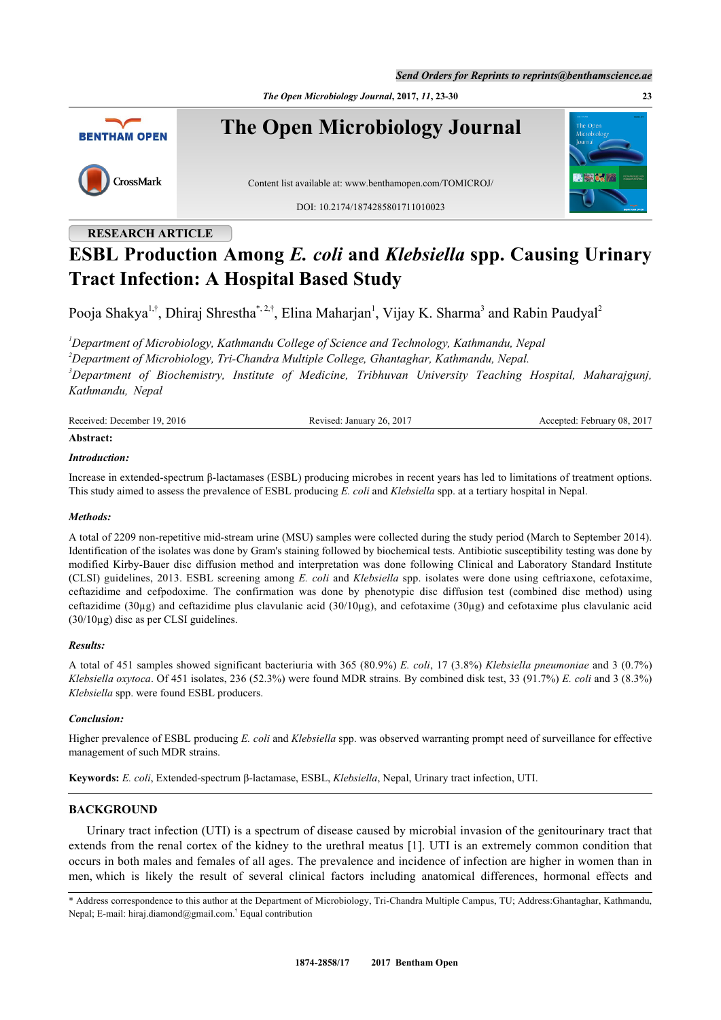*Send Orders for Reprints to reprints@benthamscience.ae*

*The Open Microbiology Journal***, 2017,** *11***, 23-30 23**



# **RESEARCH ARTICLE**

# **ESBL Production Among** *E. coli* **and** *Klebsiella* **spp. Causing Urinary Tract Infection: A Hospital Based Study**

Pooja Shakya<sup>[1,](#page-0-0)†</sup>, Dhiraj Shrestha<sup>[\\*,](#page-0-1) [2](#page-0-2),†</sup>, Elina Maharjan<sup>[1](#page-0-0)</sup>, Vijay K. Sharma<sup>[3](#page-0-3)</sup> and Rabin Paudyal<sup>[2](#page-0-2)</sup>

<span id="page-0-3"></span><span id="page-0-2"></span><span id="page-0-0"></span>*Department of Microbiology, Kathmandu College of Science and Technology, Kathmandu, Nepal Department of Microbiology, Tri-Chandra Multiple College, Ghantaghar, Kathmandu, Nepal. Department of Biochemistry, Institute of Medicine, Tribhuvan University Teaching Hospital, Maharajgunj, Kathmandu, Nepal*

| ____                   |                               |                     |
|------------------------|-------------------------------|---------------------|
| Received: December 19. | $.201$ <sup>-</sup>           | : February 08, 2017 |
| .2016                  | $\sim$ about January 26, 2017 | Accepted:           |

## **Abstract:**

#### *Introduction:*

Increase in extended-spectrum β-lactamases (ESBL) producing microbes in recent years has led to limitations of treatment options. This study aimed to assess the prevalence of ESBL producing *E. coli* and *Klebsiella* spp. at a tertiary hospital in Nepal.

#### *Methods:*

A total of 2209 non-repetitive mid-stream urine (MSU) samples were collected during the study period (March to September 2014). Identification of the isolates was done by Gram's staining followed by biochemical tests. Antibiotic susceptibility testing was done by modified Kirby-Bauer disc diffusion method and interpretation was done following Clinical and Laboratory Standard Institute (CLSI) guidelines, 2013. ESBL screening among *E. coli* and *Klebsiella* spp. isolates were done using ceftriaxone, cefotaxime, ceftazidime and cefpodoxime. The confirmation was done by phenotypic disc diffusion test (combined disc method) using ceftazidime ( $30\mu$ g) and ceftazidime plus clavulanic acid ( $30/10\mu$ g), and cefotaxime ( $30\mu$ g) and cefotaxime plus clavulanic acid  $(30/10\mu g)$  disc as per CLSI guidelines.

#### *Results:*

A total of 451 samples showed significant bacteriuria with 365 (80.9%) *E. coli*, 17 (3.8%) *Klebsiella pneumoniae* and 3 (0.7%) *Klebsiella oxytoca*. Of 451 isolates, 236 (52.3%) were found MDR strains. By combined disk test, 33 (91.7%) *E. coli* and 3 (8.3%) *Klebsiella* spp. were found ESBL producers.

#### *Conclusion:*

Higher prevalence of ESBL producing *E. coli* and *Klebsiella* spp. was observed warranting prompt need of surveillance for effective management of such MDR strains.

**Keywords:** *E. coli*, Extended-spectrum β-lactamase, ESBL, *Klebsiella*, Nepal, Urinary tract infection, UTI.

#### **BACKGROUND**

Urinary tract infection (UTI) is a spectrum of disease caused by microbial invasion of the genitourinary tract that extends from the renal cortex of the kidney to the urethral meatus [[1](#page-5-0)]. UTI is an extremely common condition that occurs in both males and females of all ages. The prevalence and incidence of infection are higher in women than in men, which is likely the result of several clinical factors including anatomical differences, hormonal effects and

<span id="page-0-1"></span>\* Address correspondence to this author at the Department of Microbiology, Tri-Chandra Multiple Campus, TU; Address:Ghantaghar, Kathmandu, Nepal; E-mail: [hiraj.diamond@gmail.com.](mailto:hiraj.diamond@gmail.com.)† Equal contribution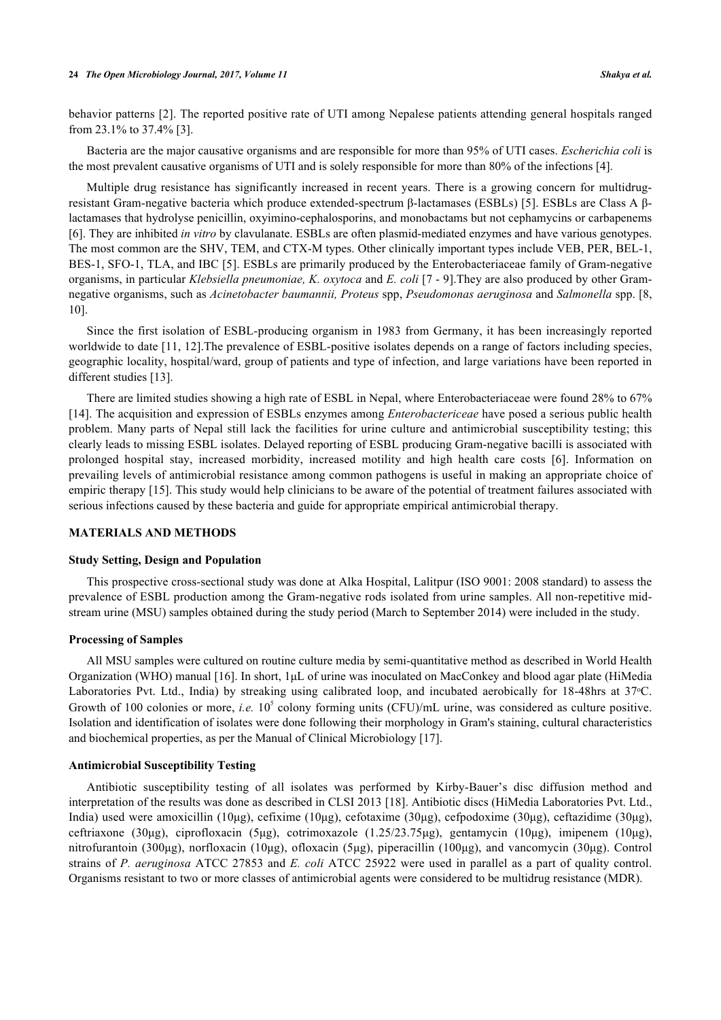behavior patterns [[2\]](#page-5-1). The reported positive rate of UTI among Nepalese patients attending general hospitals ranged from 23.1% to 37.4% [[3\]](#page-5-2).

Bacteria are the major causative organisms and are responsible for more than 95% of UTI cases. *Escherichia coli* is the most prevalent causative organisms of UTI and is solely responsible for more than 80% of the infections [[4\]](#page-5-3).

Multiple drug resistance has significantly increased in recent years. There is a growing concern for multidrugresistant Gram-negative bacteria which produce extended-spectrum β-lactamases (ESBLs) [[5](#page-5-4)]. ESBLs are Class A βlactamases that hydrolyse penicillin, oxyimino-cephalosporins, and monobactams but not cephamycins or carbapenems [\[6](#page-5-5)]. They are inhibited *in vitro* by clavulanate. ESBLs are often plasmid-mediated enzymes and have various genotypes. The most common are the SHV, TEM, and CTX-M types. Other clinically important types include VEB, PER, BEL-1, BES-1, SFO-1, TLA, and IBC [[5](#page-5-4)]. ESBLs are primarily produced by the Enterobacteriaceae family of Gram-negative organisms, in particular *Klebsiella pneumoniae, K. oxytoca* and *E. coli* [\[7](#page-5-6) - [9](#page-5-7)].They are also produced by other Gramnegative organisms, such as *Acinetobacter baumannii, Proteus* spp, *Pseudomonas aeruginosa* and *Salmonella* spp. [[8](#page-5-8), [10\]](#page-5-9).

Since the first isolation of ESBL-producing organism in 1983 from Germany, it has been increasingly reported worldwide to date [[11,](#page-5-10) [12\]](#page-5-11). The prevalence of ESBL-positive isolates depends on a range of factors including species, geographic locality, hospital/ward, group of patients and type of infection, and large variations have been reported in different studies [\[13](#page-6-0)].

There are limited studies showing a high rate of ESBL in Nepal, where Enterobacteriaceae were found 28% to 67% [\[14](#page-6-1)]. The acquisition and expression of ESBLs enzymes among *Enterobactericeae* have posed a serious public health problem. Many parts of Nepal still lack the facilities for urine culture and antimicrobial susceptibility testing; this clearly leads to missing ESBL isolates. Delayed reporting of ESBL producing Gram-negative bacilli is associated with prolonged hospital stay, increased morbidity, increased motility and high health care costs[[6](#page-5-5)]. Information on prevailing levels of antimicrobial resistance among common pathogens is useful in making an appropriate choice of empiric therapy [\[15](#page-6-2)]. This study would help clinicians to be aware of the potential of treatment failures associated with serious infections caused by these bacteria and guide for appropriate empirical antimicrobial therapy.

#### **MATERIALS AND METHODS**

#### **Study Setting, Design and Population**

This prospective cross-sectional study was done at Alka Hospital, Lalitpur (ISO 9001: 2008 standard) to assess the prevalence of ESBL production among the Gram-negative rods isolated from urine samples. All non-repetitive midstream urine (MSU) samples obtained during the study period (March to September 2014) were included in the study.

### **Processing of Samples**

All MSU samples were cultured on routine culture media by semi-quantitative method as described in World Health Organization (WHO) manual [\[16](#page-6-3)]. In short, 1μL of urine was inoculated on MacConkey and blood agar plate (HiMedia Laboratories Pvt. Ltd., India) by streaking using calibrated loop, and incubated aerobically for 18-48hrs at 37 °C. Growth of 100 colonies or more, *i.e.* 10<sup>5</sup> colony forming units (CFU)/mL urine, was considered as culture positive. Isolation and identification of isolates were done following their morphology in Gram's staining, cultural characteristics and biochemical properties, as per the Manual of Clinical Microbiology [[17\]](#page-6-4).

#### **Antimicrobial Susceptibility Testing**

Antibiotic susceptibility testing of all isolates was performed by Kirby-Bauer's disc diffusion method and interpretation of the results was done as described in CLSI 2013 [\[18](#page-6-5)]. Antibiotic discs (HiMedia Laboratories Pvt. Ltd., India) used were amoxicillin (10μg), cefixime (10μg), cefotaxime (30μg), cefpodoxime (30μg), ceftazidime (30μg), ceftriaxone (30μg), ciprofloxacin (5μg), cotrimoxazole (1.25/23.75μg), gentamycin (10μg), imipenem (10μg), nitrofurantoin (300μg), norfloxacin (10μg), ofloxacin (5μg), piperacillin (100μg), and vancomycin (30μg). Control strains of *P. aeruginosa* ATCC 27853 and *E. coli* ATCC 25922 were used in parallel as a part of quality control. Organisms resistant to two or more classes of antimicrobial agents were considered to be multidrug resistance (MDR).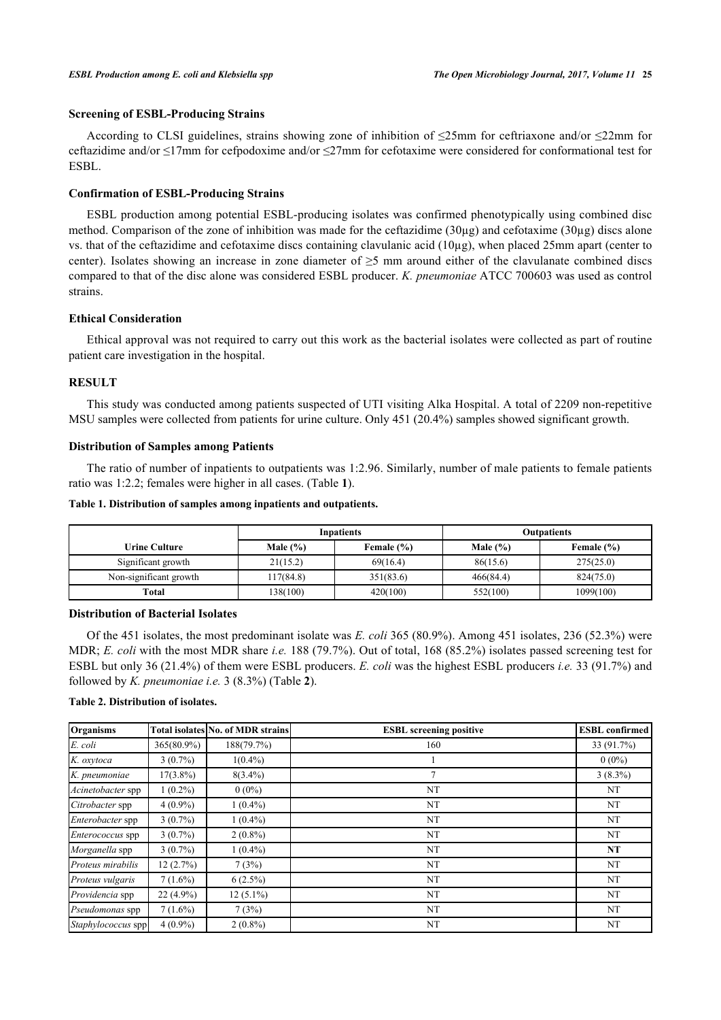#### **Screening of ESBL-Producing Strains**

According to CLSI guidelines, strains showing zone of inhibition of ≤25mm for ceftriaxone and/or ≤22mm for ceftazidime and/or ≤17mm for cefpodoxime and/or ≤27mm for cefotaxime were considered for conformational test for ESBL.

#### **Confirmation of ESBL-Producing Strains**

ESBL production among potential ESBL-producing isolates was confirmed phenotypically using combined disc method. Comparison of the zone of inhibition was made for the ceftazidime (30µg) and cefotaxime (30µg) discs alone vs. that of the ceftazidime and cefotaxime discs containing clavulanic acid (10µg), when placed 25mm apart (center to center). Isolates showing an increase in zone diameter of  $\geq$ 5 mm around either of the clavulanate combined discs compared to that of the disc alone was considered ESBL producer. *K. pneumoniae* ATCC 700603 was used as control strains.

### **Ethical Consideration**

Ethical approval was not required to carry out this work as the bacterial isolates were collected as part of routine patient care investigation in the hospital.

#### **RESULT**

This study was conducted among patients suspected of UTI visiting Alka Hospital. A total of 2209 non-repetitive MSU samples were collected from patients for urine culture. Only 451 (20.4%) samples showed significant growth.

#### **Distribution of Samples among Patients**

The ratio of number of inpatients to outpatients was 1:2.96. Similarly, number of male patients to female patients ratio was 1:2.2; females were higher in all cases. (Table **[1](#page-2-0)**).

#### <span id="page-2-0"></span>**Table 1. Distribution of samples among inpatients and outpatients.**

|                        |              | <b>Inpatients</b> | <b>Outpatients</b> |            |  |
|------------------------|--------------|-------------------|--------------------|------------|--|
| Urine Culture          | Male $(\% )$ | Female (%)        | Male $(\% )$       | Female (%) |  |
| Significant growth     | 21(15.2)     | 69(16.4)          | 86(15.6)           | 275(25.0)  |  |
| Non-significant growth | 117(84.8)    | 351(83.6)         | 466(84.4)          | 824(75.0)  |  |
| Total                  | 138(100)     | 420(100)          | 552(100)           | 1099(100)  |  |

#### **Distribution of Bacterial Isolates**

Of the 451 isolates, the most predominant isolate was *E. coli* 365 (80.9%). Among 451 isolates, 236 (52.3%) were MDR; *E. coli* with the most MDR share *i.e.* 188 (79.7%). Out of total, 168 (85.2%) isolates passed screening test for ESBL but only 36 (21.4%) of them were ESBL producers. *E. coli* was the highest ESBL producers *i.e.* 33 (91.7%) and followed by *K. pneumoniae i.e.* 3 (8.3%) (Table **[2](#page-2-1)**).

#### <span id="page-2-1"></span>**Table 2. Distribution of isolates.**

| Organisms          |             | <b>Total isolates No. of MDR strains</b> | <b>ESBL</b> screening positive | <b>ESBL</b> confirmed |
|--------------------|-------------|------------------------------------------|--------------------------------|-----------------------|
| E. coli            | 365(80.9%)  | 188(79.7%)                               | 160                            | 33 (91.7%)            |
| K. oxytoca         | $3(0.7\%)$  | $1(0.4\%)$                               |                                | $0(0\%)$              |
| K. pneumoniae      | $17(3.8\%)$ | $8(3.4\%)$                               | $\mathcal{I}$                  | $3(8.3\%)$            |
| Acinetobacter spp  | $1(0.2\%)$  | $0(0\%)$                                 | NT                             | NT                    |
| Citrobacter spp    | $4(0.9\%)$  | $1(0.4\%)$                               | NT                             | NT                    |
| Enterobacter spp   | $3(0.7\%)$  | $1(0.4\%)$                               | NT                             | NT                    |
| Enterococcus spp   | $3(0.7\%)$  | $2(0.8\%)$                               | NT                             | NT                    |
| Morganella spp     | $3(0.7\%)$  | $1(0.4\%)$                               | NT                             | NT                    |
| Proteus mirabilis  | 12(2.7%)    | 7(3%)                                    | NT                             | NT                    |
| Proteus vulgaris   | $7(1.6\%)$  | $6(2.5\%)$                               | NT                             | NT                    |
| Providencia spp    | $22(4.9\%)$ | $12(5.1\%)$                              | NT                             | NT                    |
| Pseudomonas spp    | $7(1.6\%)$  | 7(3%)                                    | NT                             | NT                    |
| Staphylococcus spp | $4(0.9\%)$  | $2(0.8\%)$                               | NT                             | NT                    |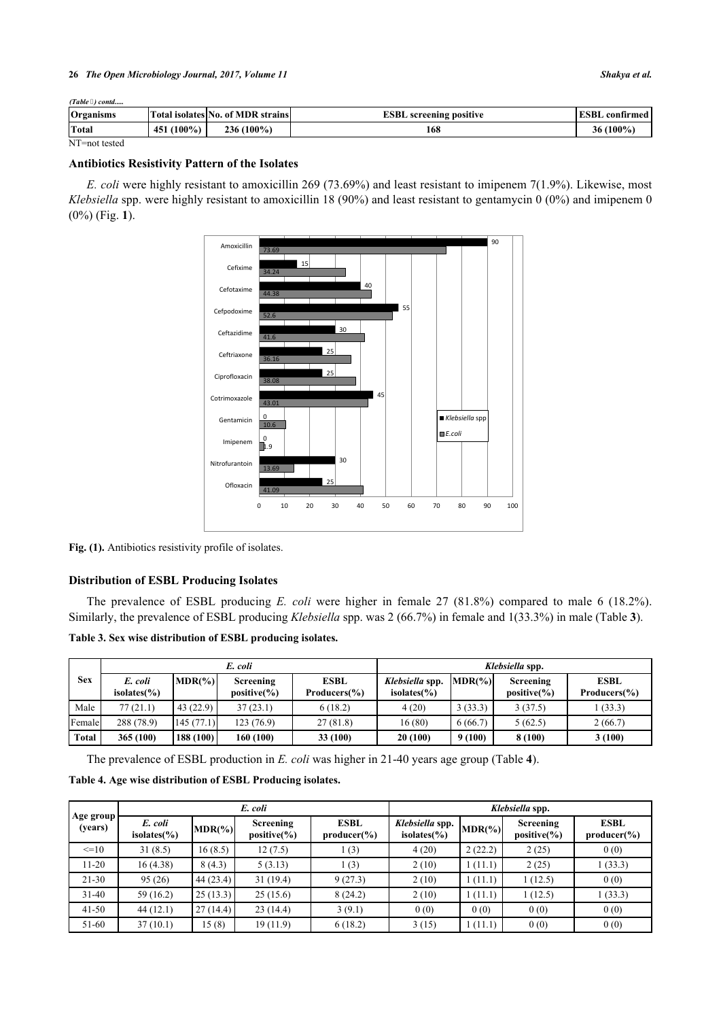#### **26** *The Open Microbiology Journal, 2017, Volume 11 Shakya et al.*

| (Table 4) contd |  |
|-----------------|--|
|                 |  |

| Organisms     |                  | <b>Total isolates No. of MDR strains</b> | <b>ESBL</b> screening positive | ESBL confirmed  |
|---------------|------------------|------------------------------------------|--------------------------------|-----------------|
| Total         | $(100\%)$<br>451 | $236(100\%)$                             | 168                            | $(100\%)$<br>36 |
| NT=not tested |                  |                                          |                                |                 |

#### **Antibiotics Resistivity Pattern of the Isolates**

<span id="page-3-0"></span>*E. coli* were highly resistant to amoxicillin 269 (73.69%) and least resistant to imipenem 7(1.9%). Likewise, most *Klebsiella* spp. were highly resistant to amoxicillin 18 (90%) and least resistant to gentamycin 0 (0%) and imipenem 0 (0%) (Fig. **[1](#page-3-0)**).



Fig. (1). Antibiotics resistivity profile of isolates.

#### **Distribution of ESBL Producing Isolates**

The prevalence of ESBL producing *E. coli* were higher in female 27 (81.8%) compared to male 6 (18.2%). Similarly, the prevalence of ESBL producing *Klebsiella* spp. was 2 (66.7%) in female and 1(33.3%) in male (Table **[3](#page-3-1)**).

<span id="page-3-1"></span>**Table 3. Sex wise distribution of ESBL producing isolates.**

|              |                                   | E. coli   |                                     | Klebsiella spp.             |                                           |            |                                     |                             |
|--------------|-----------------------------------|-----------|-------------------------------------|-----------------------------|-------------------------------------------|------------|-------------------------------------|-----------------------------|
| <b>Sex</b>   | E. coli<br>isolates $\frac{6}{6}$ | $MDR(\%)$ | <b>Screening</b><br>$positive(\% )$ | <b>ESBL</b><br>Producers(%) | Klebsiella spp.<br>isolates $\frac{6}{6}$ | $MDR(\% )$ | <b>Screening</b><br>$positive(\% )$ | <b>ESBL</b><br>Producers(%) |
| Male         | 77(21.1)                          | 43(22.9)  | 37(23.1)                            | 6(18.2)                     | 4(20)                                     | 3(33.3)    | 3(37.5)                             | (33.3)                      |
| Female       | 288 (78.9)                        | 145(77.1) | 123 (76.9)                          | 27(81.8)                    | 16(80)                                    | 6(66.7)    | 5(62.5)                             | 2(66.7)                     |
| <b>Total</b> | 365 (100)                         | 188 (100) | 160 (100)                           | 33(100)                     | 20 (100)                                  | 9(100)     | 8 (100)                             | 3(100)                      |

The prevalence of ESBL production in *E. coli* was higher in 21-40 years age group (Table **[4](#page-3-2)**).

<span id="page-3-2"></span>**Table 4. Age wise distribution of ESBL Producing isolates.**

|                        | E. coli                     |            |                                      |                                 | Klebsiella spp.                     |            |                                     |                                 |
|------------------------|-----------------------------|------------|--------------------------------------|---------------------------------|-------------------------------------|------------|-------------------------------------|---------------------------------|
| Age group  <br>(years) | E. coli<br>isolates $(\% )$ | $MDR(\% )$ | <b>Screening</b><br>positive $(\% )$ | <b>ESBL</b><br>$producter(\% )$ | Klebsiella spp.<br>isolates $(\% )$ | $MDR(\% )$ | Screening<br>positive $\frac{6}{6}$ | <b>ESBL</b><br>$producter(\% )$ |
| $=10$                  | 31(8.5)                     | 16(8.5)    | 12(7.5)                              | (3)                             | 4(20)                               | 2(22.2)    | 2(25)                               | 0(0)                            |
| $11-20$                | 16(4.38)                    | 8(4.3)     | 5(3.13)                              | (3)                             | 2(10)                               | 1(11.1)    | 2(25)                               | 1(33.3)                         |
| $21-30$                | 95(26)                      | 44(23.4)   | 31(19.4)                             | 9(27.3)                         | 2(10)                               | 1(11.1)    | (12.5)                              | 0(0)                            |
| $31 - 40$              | 59(16.2)                    | 25(13.3)   | 25(15.6)                             | 8(24.2)                         | 2(10)                               | 1(11.1)    | (12.5)                              | 1(33.3)                         |
| $41 - 50$              | 44(12.1)                    | 27(14.4)   | 23(14.4)                             | 3(9.1)                          | 0(0)                                | 0(0)       | 0(0)                                | 0(0)                            |
| 51-60                  | 37(10.1)                    | 15(8)      | 19(11.9)                             | 6(18.2)                         | 3(15)                               | 1(11.1)    | 0(0)                                | 0(0)                            |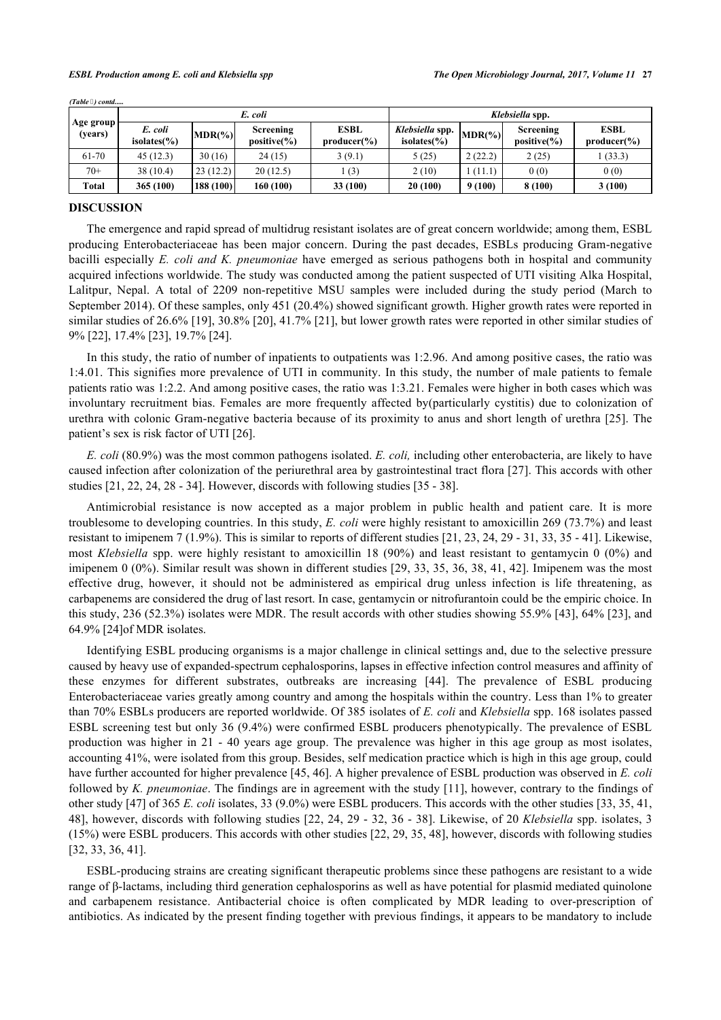|                      | E. coli                     |           |                               |                                 | Klebsiella spp.                     |            |                              |                                 |
|----------------------|-----------------------------|-----------|-------------------------------|---------------------------------|-------------------------------------|------------|------------------------------|---------------------------------|
| Age group<br>(vears) | E. coli<br>isolates $(\% )$ | $MDR(\%)$ | Screening<br>positive $(\% )$ | <b>ESBL</b><br>$producter(\% )$ | Klebsiella spp.<br>isolates $(\% )$ | $MDR(\% )$ | Screening<br>$positive(\% )$ | <b>ESBL</b><br>$producter(\% )$ |
| 61-70                | 45(12.3)                    | 30(16)    | 24 (15)                       | 3(9.1)                          | 5(25)                               | 2(22.2)    | 2(25)                        | 1(33.3)                         |
| $70+$                | 38 (10.4)                   | 23(12.2)  | 20(12.5)                      | (3)                             | 2(10)                               | (11.1)     | 0(0)                         | 0(0)                            |
| Total                | 365 (100)                   | 188 (100) | 160 (100)                     | 33 (100)                        | 20(100)                             | 9(100)     | 8(100)                       | 3(100)                          |

*(Table ) contd.....*

#### **DISCUSSION**

The emergence and rapid spread of multidrug resistant isolates are of great concern worldwide; among them, ESBL producing Enterobacteriaceae has been major concern. During the past decades, ESBLs producing Gram-negative bacilli especially *E. coli and K. pneumoniae* have emerged as serious pathogens both in hospital and community acquired infections worldwide. The study was conducted among the patient suspected of UTI visiting Alka Hospital, Lalitpur, Nepal. A total of 2209 non-repetitive MSU samples were included during the study period (March to September 2014). Of these samples, only 451 (20.4%) showed significant growth. Higher growth rates were reported in similar studies of 26.6% [\[19\]](#page-6-6), 30.8% [\[20](#page-6-7)], 41.7% [[21](#page-6-8)], but lower growth rates were reported in other similar studies of 9% [[22\]](#page-6-9), 17.4% [[23\]](#page-6-10), 19.7% [[24\]](#page-6-11).

In this study, the ratio of number of inpatients to outpatients was 1:2.96. And among positive cases, the ratio was 1:4.01. This signifies more prevalence of UTI in community. In this study, the number of male patients to female patients ratio was 1:2.2. And among positive cases, the ratio was 1:3.21. Females were higher in both cases which was involuntary recruitment bias. Females are more frequently affected by(particularly cystitis) due to colonization of urethra with colonic Gram-negative bacteria because of its proximity to anus and short length of urethra [\[25](#page-6-12)]. The patient's sex is risk factor of UTI [\[26](#page-6-13)].

*E. coli* (80.9%) was the most common pathogens isolated. *E. coli,* including other enterobacteria, are likely to have caused infection after colonization of the periurethral area by gastrointestinal tract flora [[27](#page-6-14)]. This accords with other studies  $[21, 22, 24, 28 - 34]$  $[21, 22, 24, 28 - 34]$  $[21, 22, 24, 28 - 34]$  $[21, 22, 24, 28 - 34]$  $[21, 22, 24, 28 - 34]$  $[21, 22, 24, 28 - 34]$  $[21, 22, 24, 28 - 34]$  $[21, 22, 24, 28 - 34]$  $[21, 22, 24, 28 - 34]$ . However, discords with following studies  $[35 - 38]$  $[35 - 38]$  $[35 - 38]$  $[35 - 38]$  $[35 - 38]$ .

Antimicrobial resistance is now accepted as a major problem in public health and patient care. It is more troublesome to developing countries. In this study, *E. coli* were highly resistant to amoxicillin 269 (73.7%) and least resistant to imipenem 7 (1.9%). This is similar to reports of different studies [[21,](#page-6-8) [23,](#page-6-10) [24,](#page-6-11) [29](#page-6-17) - [31](#page-6-18), [33](#page-6-19), [35](#page-7-0) - [41\]](#page-7-2). Likewise, most *Klebsiella* spp. were highly resistant to amoxicillin 18 (90%) and least resistant to gentamycin 0 (0%) and imipenem 0 (0%). Similar result was shown in different studies [\[29](#page-6-17), [33](#page-6-19), [35,](#page-7-0) [36,](#page-7-3) [38,](#page-7-1) [41](#page-7-2), [42](#page-7-4)]. Imipenem was the most effective drug, however, it should not be administered as empirical drug unless infection is life threatening, as carbapenems are considered the drug of last resort. In case, gentamycin or nitrofurantoin could be the empiric choice. In this study, 236 (52.3%) isolates were MDR. The result accords with other studies showing 55.9% [[43\]](#page-7-5), 64% [\[23](#page-6-10)], and 64.9% [\[24](#page-6-11)]of MDR isolates.

Identifying ESBL producing organisms is a major challenge in clinical settings and, due to the selective pressure caused by heavy use of expanded-spectrum cephalosporins, lapses in effective infection control measures and affinity of these enzymes for different substrates, outbreaks are increasing [\[44\]](#page-7-6). The prevalence of ESBL producing Enterobacteriaceae varies greatly among country and among the hospitals within the country. Less than 1% to greater than 70% ESBLs producers are reported worldwide. Of 385 isolates of *E. coli* and *Klebsiella* spp. 168 isolates passed ESBL screening test but only 36 (9.4%) were confirmed ESBL producers phenotypically. The prevalence of ESBL production was higher in 21 - 40 years age group. The prevalence was higher in this age group as most isolates, accounting 41%, were isolated from this group. Besides, self medication practice which is high in this age group, could have further accounted for higher prevalence [\[45](#page-7-7), [46](#page-7-8)]. A higher prevalence of ESBL production was observed in *E. coli* followed by *K. pneumoniae*. The findings are in agreement with the study [[11](#page-5-10)], however, contrary to the findings of other study [\[47](#page-7-9)] of 365 *E. coli* isolates, 33 (9.0%) were ESBL producers. This accords with the other studies [\[33](#page-6-19), [35](#page-7-0), [41](#page-7-2), [48\]](#page-7-10), however, discords with following studies [[22,](#page-6-9) [24,](#page-6-11) [29](#page-6-17) - [32](#page-6-20), [36](#page-7-3) - [38\]](#page-7-1). Likewise, of 20 *Klebsiella* spp. isolates, 3 (15%) were ESBL producers. This accords with other studies [\[22](#page-6-9), [29](#page-6-17), [35](#page-7-0), [48\]](#page-7-10), however, discords with following studies [\[32](#page-6-20), [33](#page-6-19), [36](#page-7-3), [41](#page-7-2)].

ESBL-producing strains are creating significant therapeutic problems since these pathogens are resistant to a wide range of β-lactams, including third generation cephalosporins as well as have potential for plasmid mediated quinolone and carbapenem resistance. Antibacterial choice is often complicated by MDR leading to over-prescription of antibiotics. As indicated by the present finding together with previous findings, it appears to be mandatory to include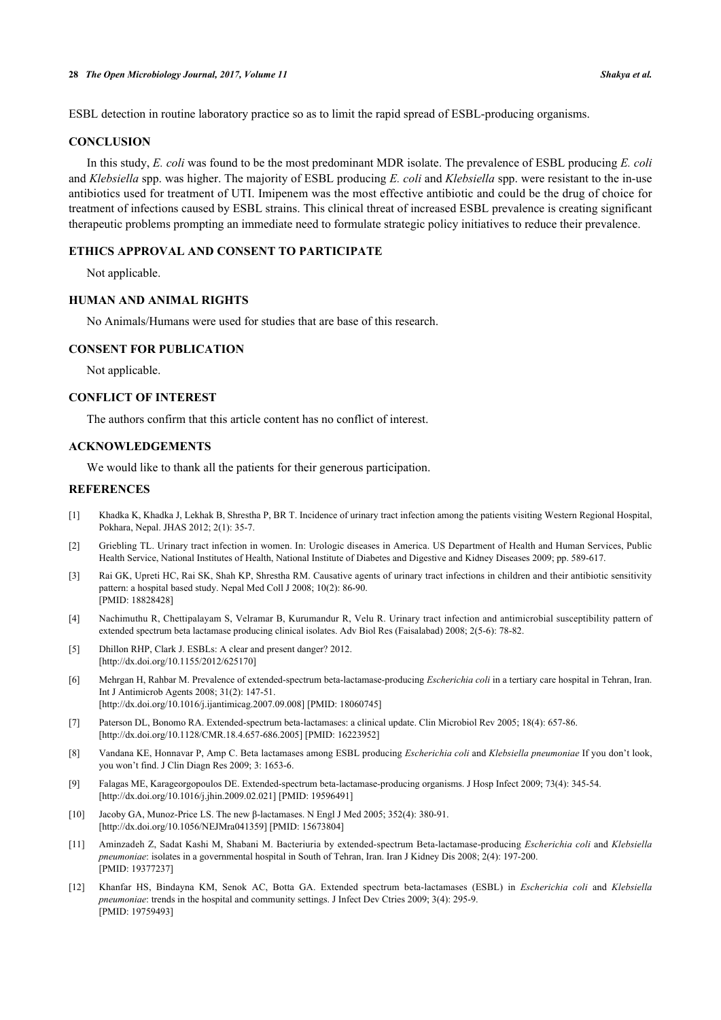ESBL detection in routine laboratory practice so as to limit the rapid spread of ESBL-producing organisms.

#### **CONCLUSION**

In this study, *E. coli* was found to be the most predominant MDR isolate. The prevalence of ESBL producing *E. coli* and *Klebsiella* spp. was higher. The majority of ESBL producing *E. coli* and *Klebsiella* spp. were resistant to the in-use antibiotics used for treatment of UTI. Imipenem was the most effective antibiotic and could be the drug of choice for treatment of infections caused by ESBL strains. This clinical threat of increased ESBL prevalence is creating significant therapeutic problems prompting an immediate need to formulate strategic policy initiatives to reduce their prevalence.

#### **ETHICS APPROVAL AND CONSENT TO PARTICIPATE**

Not applicable.

#### **HUMAN AND ANIMAL RIGHTS**

No Animals/Humans were used for studies that are base of this research.

#### **CONSENT FOR PUBLICATION**

Not applicable.

#### **CONFLICT OF INTEREST**

The authors confirm that this article content has no conflict of interest.

#### **ACKNOWLEDGEMENTS**

We would like to thank all the patients for their generous participation.

#### **REFERENCES**

- <span id="page-5-0"></span>[1] Khadka K, Khadka J, Lekhak B, Shrestha P, BR T. Incidence of urinary tract infection among the patients visiting Western Regional Hospital, Pokhara, Nepal. JHAS 2012; 2(1): 35-7.
- <span id="page-5-1"></span>[2] Griebling TL. Urinary tract infection in women. In: Urologic diseases in America. US Department of Health and Human Services, Public Health Service, National Institutes of Health, National Institute of Diabetes and Digestive and Kidney Diseases 2009; pp. 589-617.
- <span id="page-5-2"></span>[3] Rai GK, Upreti HC, Rai SK, Shah KP, Shrestha RM. Causative agents of urinary tract infections in children and their antibiotic sensitivity pattern: a hospital based study. Nepal Med Coll J 2008; 10(2): 86-90. [PMID: [18828428\]](http://www.ncbi.nlm.nih.gov/pubmed/18828428)
- <span id="page-5-3"></span>[4] Nachimuthu R, Chettipalayam S, Velramar B, Kurumandur R, Velu R. Urinary tract infection and antimicrobial susceptibility pattern of extended spectrum beta lactamase producing clinical isolates. Adv Biol Res (Faisalabad) 2008; 2(5-6): 78-82.
- <span id="page-5-4"></span>[5] Dhillon RHP, Clark J. ESBLs: A clear and present danger? 2012. [\[http://dx.doi.org/10.1155/2012/625170](http://dx.doi.org/10.1155/2012/625170)]
- <span id="page-5-5"></span>[6] Mehrgan H, Rahbar M. Prevalence of extended-spectrum beta-lactamase-producing *Escherichia coli* in a tertiary care hospital in Tehran, Iran. Int J Antimicrob Agents 2008; 31(2): 147-51. [\[http://dx.doi.org/10.1016/j.ijantimicag.2007.09.008](http://dx.doi.org/10.1016/j.ijantimicag.2007.09.008)] [PMID: [18060745\]](http://www.ncbi.nlm.nih.gov/pubmed/18060745)
- <span id="page-5-6"></span>[7] Paterson DL, Bonomo RA. Extended-spectrum beta-lactamases: a clinical update. Clin Microbiol Rev 2005; 18(4): 657-86. [\[http://dx.doi.org/10.1128/CMR.18.4.657-686.2005](http://dx.doi.org/10.1128/CMR.18.4.657-686.2005)] [PMID: [16223952\]](http://www.ncbi.nlm.nih.gov/pubmed/16223952)
- <span id="page-5-8"></span>[8] Vandana KE, Honnavar P, Amp C. Beta lactamases among ESBL producing *Escherichia coli* and *Klebsiella pneumoniae* If you don't look, you won't find. J Clin Diagn Res 2009; 3: 1653-6.
- <span id="page-5-7"></span>[9] Falagas ME, Karageorgopoulos DE. Extended-spectrum beta-lactamase-producing organisms. J Hosp Infect 2009; 73(4): 345-54. [\[http://dx.doi.org/10.1016/j.jhin.2009.02.021](http://dx.doi.org/10.1016/j.jhin.2009.02.021)] [PMID: [19596491](http://www.ncbi.nlm.nih.gov/pubmed/19596491)]
- <span id="page-5-9"></span>[10] Jacoby GA, Munoz-Price LS. The new β-lactamases. N Engl J Med 2005; 352(4): 380-91. [\[http://dx.doi.org/10.1056/NEJMra041359\]](http://dx.doi.org/10.1056/NEJMra041359) [PMID: [15673804](http://www.ncbi.nlm.nih.gov/pubmed/15673804)]
- <span id="page-5-10"></span>[11] Aminzadeh Z, Sadat Kashi M, Shabani M. Bacteriuria by extended-spectrum Beta-lactamase-producing *Escherichia coli* and *Klebsiella pneumoniae*: isolates in a governmental hospital in South of Tehran, Iran. Iran J Kidney Dis 2008; 2(4): 197-200. [PMID: [19377237\]](http://www.ncbi.nlm.nih.gov/pubmed/19377237)
- <span id="page-5-11"></span>[12] Khanfar HS, Bindayna KM, Senok AC, Botta GA. Extended spectrum beta-lactamases (ESBL) in *Escherichia coli* and *Klebsiella pneumoniae*: trends in the hospital and community settings. J Infect Dev Ctries 2009; 3(4): 295-9. [PMID: [19759493\]](http://www.ncbi.nlm.nih.gov/pubmed/19759493)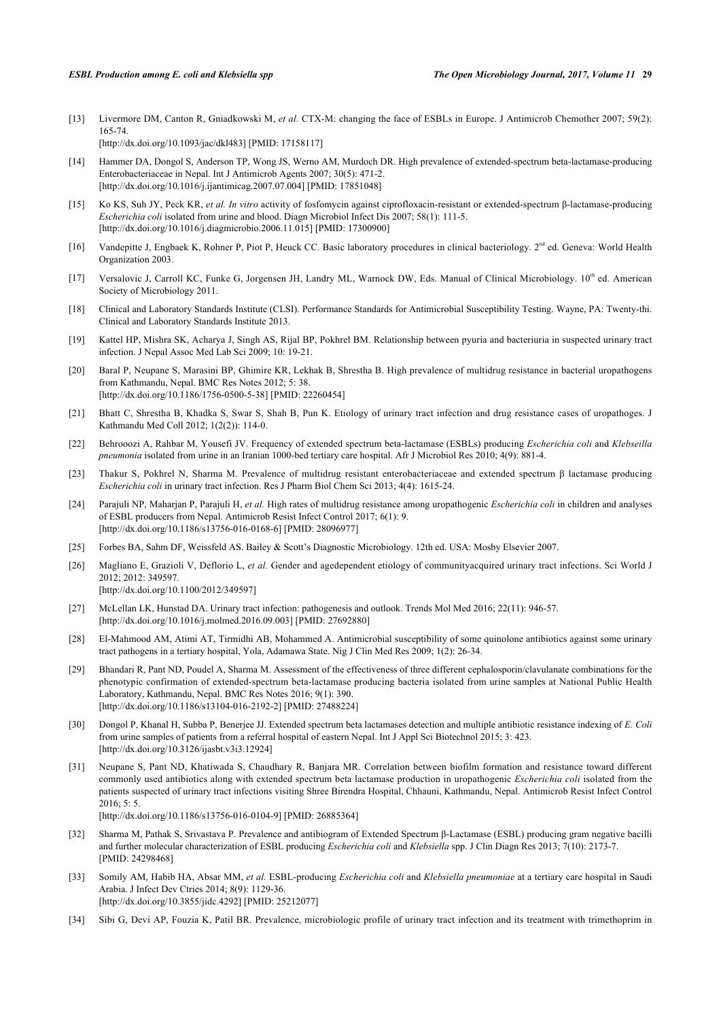<span id="page-6-0"></span>[13] Livermore DM, Canton R, Gniadkowski M, *et al.* CTX-M: changing the face of ESBLs in Europe. J Antimicrob Chemother 2007; 59(2): 165-74. [\[http://dx.doi.org/10.1093/jac/dkl483\]](http://dx.doi.org/10.1093/jac/dkl483) [PMID: [17158117](http://www.ncbi.nlm.nih.gov/pubmed/17158117)]

<span id="page-6-1"></span>[14] Hammer DA, Dongol S, Anderson TP, Wong JS, Werno AM, Murdoch DR. High prevalence of extended-spectrum beta-lactamase-producing Enterobacteriaceae in Nepal. Int J Antimicrob Agents 2007; 30(5): 471-2. [\[http://dx.doi.org/10.1016/j.ijantimicag.2007.07.004](http://dx.doi.org/10.1016/j.ijantimicag.2007.07.004)] [PMID: [17851048\]](http://www.ncbi.nlm.nih.gov/pubmed/17851048)

- <span id="page-6-2"></span>[15] Ko KS, Suh JY, Peck KR, *et al. In vitro* activity of fosfomycin against ciprofloxacin-resistant or extended-spectrum β-lactamase-producing *Escherichia coli* isolated from urine and blood. Diagn Microbiol Infect Dis 2007; 58(1): 111-5. [\[http://dx.doi.org/10.1016/j.diagmicrobio.2006.11.015\]](http://dx.doi.org/10.1016/j.diagmicrobio.2006.11.015) [PMID: [17300900](http://www.ncbi.nlm.nih.gov/pubmed/17300900)]
- <span id="page-6-3"></span>[16] Vandepitte J, Engbaek K, Rohner P, Piot P, Heuck CC. Basic laboratory procedures in clinical bacteriology.  $2<sup>nd</sup>$  ed. Geneva: World Health Organization 2003.
- <span id="page-6-4"></span>[17] Versalovic J, Carroll KC, Funke G, Jorgensen JH, Landry ML, Warnock DW, Eds. Manual of Clinical Microbiology. 10<sup>th</sup> ed. American Society of Microbiology 2011.
- <span id="page-6-5"></span>[18] Clinical and Laboratory Standards Institute (CLSI). Performance Standards for Antimicrobial Susceptibility Testing. Wayne, PA: Twenty-thi. Clinical and Laboratory Standards Institute 2013.
- <span id="page-6-6"></span>[19] Kattel HP, Mishra SK, Acharya J, Singh AS, Rijal BP, Pokhrel BM. Relationship between pyuria and bacteriuria in suspected urinary tract infection. J Nepal Assoc Med Lab Sci 2009; 10: 19-21.
- <span id="page-6-7"></span>[20] Baral P, Neupane S, Marasini BP, Ghimire KR, Lekhak B, Shrestha B. High prevalence of multidrug resistance in bacterial uropathogens from Kathmandu, Nepal. BMC Res Notes 2012; 5: 38. [\[http://dx.doi.org/10.1186/1756-0500-5-38\]](http://dx.doi.org/10.1186/1756-0500-5-38) [PMID: [22260454](http://www.ncbi.nlm.nih.gov/pubmed/22260454)]
- <span id="page-6-8"></span>[21] Bhatt C, Shrestha B, Khadka S, Swar S, Shah B, Pun K. Etiology of urinary tract infection and drug resistance cases of uropathoges. J Kathmandu Med Coll 2012; 1(2(2)): 114-0.
- <span id="page-6-9"></span>[22] Behrooozi A, Rahbar M, Yousefi JV. Frequency of extended spectrum beta-lactamase (ESBLs) producing *Escherichia coli* and *Klebseilla pneumonia* isolated from urine in an Iranian 1000-bed tertiary care hospital. Afr J Microbiol Res 2010; 4(9): 881-4.
- <span id="page-6-10"></span>[23] Thakur S, Pokhrel N, Sharma M. Prevalence of multidrug resistant enterobacteriaceae and extended spectrum β lactamase producing *Escherichia coli* in urinary tract infection. Res J Pharm Biol Chem Sci 2013; 4(4): 1615-24.
- <span id="page-6-11"></span>[24] Parajuli NP, Maharjan P, Parajuli H, *et al.* High rates of multidrug resistance among uropathogenic *Escherichia coli* in children and analyses of ESBL producers from Nepal. Antimicrob Resist Infect Control 2017; 6(1): 9. [\[http://dx.doi.org/10.1186/s13756-016-0168-6\]](http://dx.doi.org/10.1186/s13756-016-0168-6) [PMID: [28096977](http://www.ncbi.nlm.nih.gov/pubmed/28096977)]
- <span id="page-6-12"></span>[25] Forbes BA, Sahm DF, Weissfeld AS. Bailey & Scott's Diagnostic Microbiology. 12th ed. USA: Mosby Elsevier 2007.
- <span id="page-6-13"></span>[26] Magliano E, Grazioli V, Deflorio L, *et al.* Gender and agedependent etiology of communityacquired urinary tract infections. Sci World J 2012; 2012: 349597. [\[http://dx.doi.org/10.1100/2012/349597](http://dx.doi.org/10.1100/2012/349597)]
- <span id="page-6-14"></span>[27] McLellan LK, Hunstad DA. Urinary tract infection: pathogenesis and outlook. Trends Mol Med 2016; 22(11): 946-57. [\[http://dx.doi.org/10.1016/j.molmed.2016.09.003](http://dx.doi.org/10.1016/j.molmed.2016.09.003)] [PMID: [27692880\]](http://www.ncbi.nlm.nih.gov/pubmed/27692880)
- <span id="page-6-15"></span>[28] El-Mahmood AM, Atimi AT, Tirmidhi AB, Mohammed A. Antimicrobial susceptibility of some quinolone antibiotics against some urinary tract pathogens in a tertiary hospital, Yola, Adamawa State. Nig J Clin Med Res 2009; 1(2): 26-34.
- <span id="page-6-17"></span>[29] Bhandari R, Pant ND, Poudel A, Sharma M. Assessment of the effectiveness of three different cephalosporin/clavulanate combinations for the phenotypic confirmation of extended-spectrum beta-lactamase producing bacteria isolated from urine samples at National Public Health Laboratory, Kathmandu, Nepal. BMC Res Notes 2016; 9(1): 390. [\[http://dx.doi.org/10.1186/s13104-016-2192-2\]](http://dx.doi.org/10.1186/s13104-016-2192-2) [PMID: [27488224](http://www.ncbi.nlm.nih.gov/pubmed/27488224)]
- [30] Dongol P, Khanal H, Subba P, Benerjee JJ. Extended spectrum beta lactamases detection and multiple antibiotic resistance indexing of *E. Coli* from urine samples of patients from a referral hospital of eastern Nepal. Int J Appl Sci Biotechnol 2015; 3: 423. [\[http://dx.doi.org/10.3126/ijasbt.v3i3.12924](http://dx.doi.org/10.3126/ijasbt.v3i3.12924)]
- <span id="page-6-18"></span>[31] Neupane S, Pant ND, Khatiwada S, Chaudhary R, Banjara MR. Correlation between biofilm formation and resistance toward different commonly used antibiotics along with extended spectrum beta lactamase production in uropathogenic *Escherichia coli* isolated from the patients suspected of urinary tract infections visiting Shree Birendra Hospital, Chhauni, Kathmandu, Nepal. Antimicrob Resist Infect Control 2016; 5: 5. [\[http://dx.doi.org/10.1186/s13756-016-0104-9\]](http://dx.doi.org/10.1186/s13756-016-0104-9) [PMID: [26885364](http://www.ncbi.nlm.nih.gov/pubmed/26885364)]
- <span id="page-6-20"></span>[32] Sharma M, Pathak S, Srivastava P. Prevalence and antibiogram of Extended Spectrum β-Lactamase (ESBL) producing gram negative bacilli and further molecular characterization of ESBL producing *Escherichia coli* and *Klebsiella* spp. J Clin Diagn Res 2013; 7(10): 2173-7. [PMID: [24298468\]](http://www.ncbi.nlm.nih.gov/pubmed/24298468)
- <span id="page-6-19"></span>[33] Somily AM, Habib HA, Absar MM, *et al.* ESBL-producing *Escherichia coli* and *Klebsiella pneumoniae* at a tertiary care hospital in Saudi Arabia. J Infect Dev Ctries 2014; 8(9): 1129-36. [\[http://dx.doi.org/10.3855/jidc.4292\]](http://dx.doi.org/10.3855/jidc.4292) [PMID: [25212077](http://www.ncbi.nlm.nih.gov/pubmed/25212077)]
- <span id="page-6-16"></span>[34] Sibi G, Devi AP, Fouzia K, Patil BR. Prevalence, microbiologic profile of urinary tract infection and its treatment with trimethoprim in